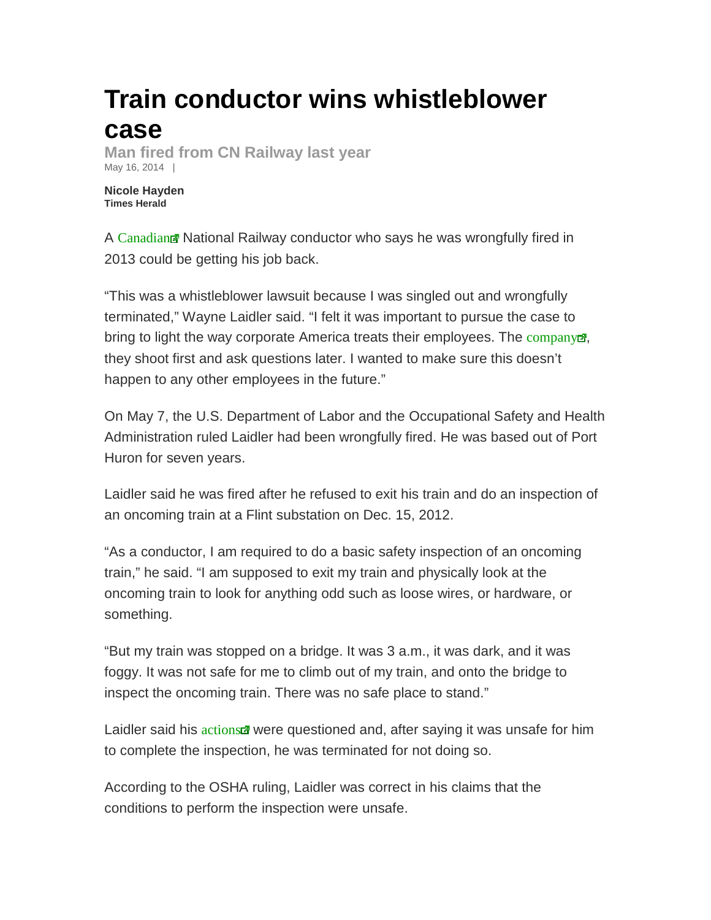## **Train conductor wins whistleblower case**

**Man fired from CN Railway last year**  May 16, 2014 |

**Nicole Hayden Times Herald** 

A Canadian Rational Railway conductor who says he was wrongfully fired in 2013 could be getting his job back.

"This was a whistleblower lawsuit because I was singled out and wrongfully terminated," Wayne Laidler said. "I felt it was important to pursue the case to bring to light the way corporate America treats their employees. The company  $\mathbb{Z}$ , they shoot first and ask questions later. I wanted to make sure this doesn't happen to any other employees in the future."

On May 7, the U.S. Department of Labor and the Occupational Safety and Health Administration ruled Laidler had been wrongfully fired. He was based out of Port Huron for seven years.

Laidler said he was fired after he refused to exit his train and do an inspection of an oncoming train at a Flint substation on Dec. 15, 2012.

"As a conductor, I am required to do a basic safety inspection of an oncoming train," he said. "I am supposed to exit my train and physically look at the oncoming train to look for anything odd such as loose wires, or hardware, or something.

"But my train was stopped on a bridge. It was 3 a.m., it was dark, and it was foggy. It was not safe for me to climb out of my train, and onto the bridge to inspect the oncoming train. There was no safe place to stand."

Laidler said his actions were questioned and, after saying it was unsafe for him to complete the inspection, he was terminated for not doing so.

According to the OSHA ruling, Laidler was correct in his claims that the conditions to perform the inspection were unsafe.